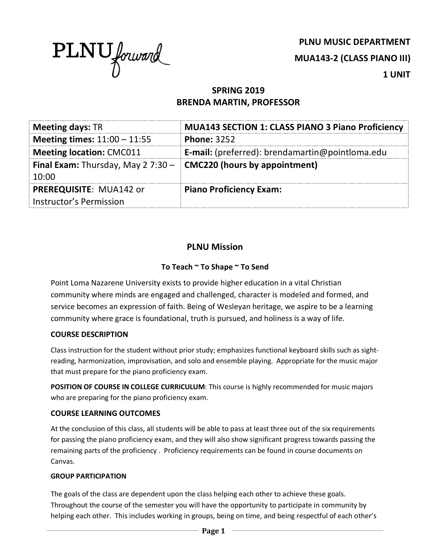

**PLNU MUSIC DEPARTMENT MUA143-2 (CLASS PIANO III) 1 UNIT**

# **SPRING 2019 BRENDA MARTIN, PROFESSOR**

| <b>Meeting days: TR</b>                     | <b>MUA143 SECTION 1: CLASS PIANO 3 Piano Proficiency</b> |  |
|---------------------------------------------|----------------------------------------------------------|--|
| Meeting times: $11:00 - 11:55$              | <b>Phone: 3252</b>                                       |  |
| <b>Meeting location: CMC011</b>             | <b>E-mail:</b> (preferred): brendamartin@pointloma.edu   |  |
| <b>Final Exam:</b> Thursday, May 2 $7:30 -$ | <b>CMC220 (hours by appointment)</b>                     |  |
| 10:00                                       |                                                          |  |
| <b>PREREQUISITE: MUA142 or</b>              | <b>Piano Proficiency Exam:</b>                           |  |
| Instructor's Permission                     |                                                          |  |

## **PLNU Mission**

## **To Teach ~ To Shape ~ To Send**

Point Loma Nazarene University exists to provide higher education in a vital Christian community where minds are engaged and challenged, character is modeled and formed, and service becomes an expression of faith. Being of Wesleyan heritage, we aspire to be a learning community where grace is foundational, truth is pursued, and holiness is a way of life.

### **COURSE DESCRIPTION**

Class instruction for the student without prior study; emphasizes functional keyboard skills such as sightreading, harmonization, improvisation, and solo and ensemble playing. Appropriate for the music major that must prepare for the piano proficiency exam.

**POSITION OF COURSE IN COLLEGE CURRICULUM**: This course is highly recommended for music majors who are preparing for the piano proficiency exam.

### **COURSE LEARNING OUTCOMES**

At the conclusion of this class, all students will be able to pass at least three out of the six requirements for passing the piano proficiency exam, and they will also show significant progress towards passing the remaining parts of the proficiency . Proficiency requirements can be found in course documents on Canvas.

#### **GROUP PARTICIPATION**

The goals of the class are dependent upon the class helping each other to achieve these goals. Throughout the course of the semester you will have the opportunity to participate in community by helping each other. This includes working in groups, being on time, and being respectful of each other's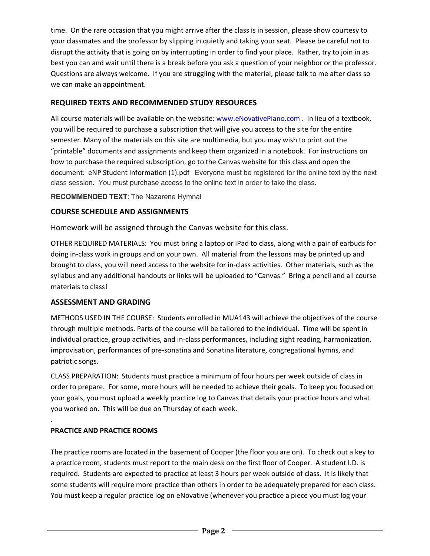time. On the rare occasion that you might arrive after the class is in session, please show courtesy to your classmates and the professor by slipping in quietly and taking your seat. Please be careful not to disrupt the activity that is going on by interrupting in order to find your place. Rather, try to join in as best you can and wait until there is a break before you ask a question of your neighbor or the professor. Questions are always welcome. If you are struggling with the material, please talk to me after class so we can make an appointment.

### **REQUIRED TEXTS AND RECOMMENDED STUDY RESOURCES**

All course materials will be available on the website: www.eNovativePiano.com . In lieu of a textbook, you will be required to purchase a subscription that will give you access to the site for the entire semester. Many of the materials on this site are multimedia, but you may wish to print out the "printable" documents and assignments and keep them organized in a notebook. For instructions on how to purchase the required subscription, go to the Canvas website for this class and open the document: eNP Student Information (1).pdf Everyone must be registered for the online text by the next class session. You must purchase access to the online text in order to take the class.

**RECOMMENDED TEXT**: The Nazarene Hymnal

### **COURSE SCHEDULE AND ASSIGNMENTS**

Homework will be assigned through the Canvas website for this class.

OTHER REQUIRED MATERIALS: You must bring a laptop or iPad to class, along with a pair of earbuds for doing in-class work in groups and on your own. All material from the lessons may be printed up and brought to class, you will need access to the website for in-class activities. Other materials, such as the syllabus and any additional handouts or links will be uploaded to "Canvas." Bring a pencil and all course materials to class!

### **ASSESSMENT AND GRADING**

METHODS USED IN THE COURSE: Students enrolled in MUA143 will achieve the objectives of the course through multiple methods. Parts of the course will be tailored to the individual. Time will be spent in individual practice, group activities, and in-class performances, including sight reading, harmonization, improvisation, performances of pre-sonatina and Sonatina literature, congregational hymns, and patriotic songs. 

CLASS PREPARATION: Students must practice a minimum of four hours per week outside of class in order to prepare. For some, more hours will be needed to achieve their goals. To keep you focused on your goals, you must upload a weekly practice log to Canvas that details your practice hours and what you worked on. This will be due on Thursday of each week.

## **PRACTICE AND PRACTICE ROOMS**

.

The practice rooms are located in the basement of Cooper (the floor you are on). To check out a key to a practice room, students must report to the main desk on the first floor of Cooper. A student I.D. is required. Students are expected to practice at least 3 hours per week outside of class. It is likely that some students will require more practice than others in order to be adequately prepared for each class. You must keep a regular practice log on eNovative (whenever you practice a piece you must log your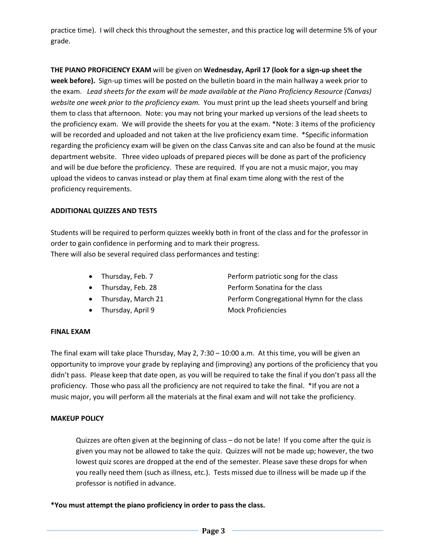practice time). I will check this throughout the semester, and this practice log will determine 5% of your grade.

**THE PIANO PROFICIENCY EXAM** will be given on **Wednesday, April 17 (look for a sign-up sheet the week before).** Sign-up times will be posted on the bulletin board in the main hallway a week prior to the exam. *Lead sheets for the exam will be made available at the Piano Proficiency Resource (Canvas) website one week prior to the proficiency exam.* You must print up the lead sheets yourself and bring them to class that afternoon. Note: you may not bring your marked up versions of the lead sheets to the proficiency exam. We will provide the sheets for you at the exam. \*Note: 3 items of the proficiency will be recorded and uploaded and not taken at the live proficiency exam time. \*Specific information regarding the proficiency exam will be given on the class Canvas site and can also be found at the music department website. Three video uploads of prepared pieces will be done as part of the proficiency and will be due before the proficiency. These are required. If you are not a music major, you may upload the videos to canvas instead or play them at final exam time along with the rest of the proficiency requirements.

#### **ADDITIONAL QUIZZES AND TESTS**

Students will be required to perform quizzes weekly both in front of the class and for the professor in order to gain confidence in performing and to mark their progress. There will also be several required class performances and testing:

- 
- 
- 
- Thursday, April 9 Mock Proficiencies
- Thursday, Feb. 7 Perform patriotic song for the class • Thursday, Feb. 28 Perform Sonatina for the class • Thursday, March 21 **Perform Congregational Hymn for the class**

#### **FINAL EXAM**

The final exam will take place Thursday, May 2, 7:30 – 10:00 a.m. At this time, you will be given an opportunity to improve your grade by replaying and (improving) any portions of the proficiency that you didn't pass. Please keep that date open, as you will be required to take the final if you don't pass all the proficiency. Those who pass all the proficiency are not required to take the final. \*If you are not a music major, you will perform all the materials at the final exam and will not take the proficiency.

### **MAKEUP POLICY**

Quizzes are often given at the beginning of class – do not be late! If you come after the quiz is given you may not be allowed to take the quiz. Quizzes will not be made up; however, the two lowest quiz scores are dropped at the end of the semester. Please save these drops for when you really need them (such as illness, etc.). Tests missed due to illness will be made up if the professor is notified in advance.

**\*You must attempt the piano proficiency in order to pass the class.**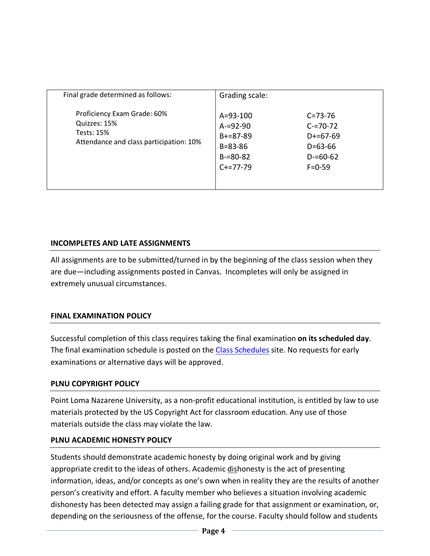| Final grade determined as follows:                                                                          | Grading scale:                                                                                |                                                                                                |
|-------------------------------------------------------------------------------------------------------------|-----------------------------------------------------------------------------------------------|------------------------------------------------------------------------------------------------|
| Proficiency Exam Grade: 60%<br>Quizzes: 15%<br><b>Tests: 15%</b><br>Attendance and class participation: 10% | $A = 93 - 100$<br>$A = 92 - 90$<br>$B+=87-89$<br>$B = 83 - 86$<br>$B = 80 - 82$<br>$C+=77-79$ | $C = 73 - 76$<br>$C = 70 - 72$<br>$D+=67-69$<br>$D = 63 - 66$<br>$D = 60 - 62$<br>$F = 0 - 59$ |

## **INCOMPLETES AND LATE ASSIGNMENTS**

All assignments are to be submitted/turned in by the beginning of the class session when they are due—including assignments posted in Canvas. Incompletes will only be assigned in extremely unusual circumstances.

## **FINAL EXAMINATION POLICY**

Successful completion of this class requires taking the final examination **on its scheduled day**. The final examination schedule is posted on the Class Schedules site. No requests for early examinations or alternative days will be approved.

## **PLNU COPYRIGHT POLICY**

Point Loma Nazarene University, as a non-profit educational institution, is entitled by law to use materials protected by the US Copyright Act for classroom education. Any use of those materials outside the class may violate the law.

## **PLNU ACADEMIC HONESTY POLICY**

Students should demonstrate academic honesty by doing original work and by giving appropriate credit to the ideas of others. Academic dishonesty is the act of presenting information, ideas, and/or concepts as one's own when in reality they are the results of another person's creativity and effort. A faculty member who believes a situation involving academic dishonesty has been detected may assign a failing grade for that assignment or examination, or, depending on the seriousness of the offense, for the course. Faculty should follow and students